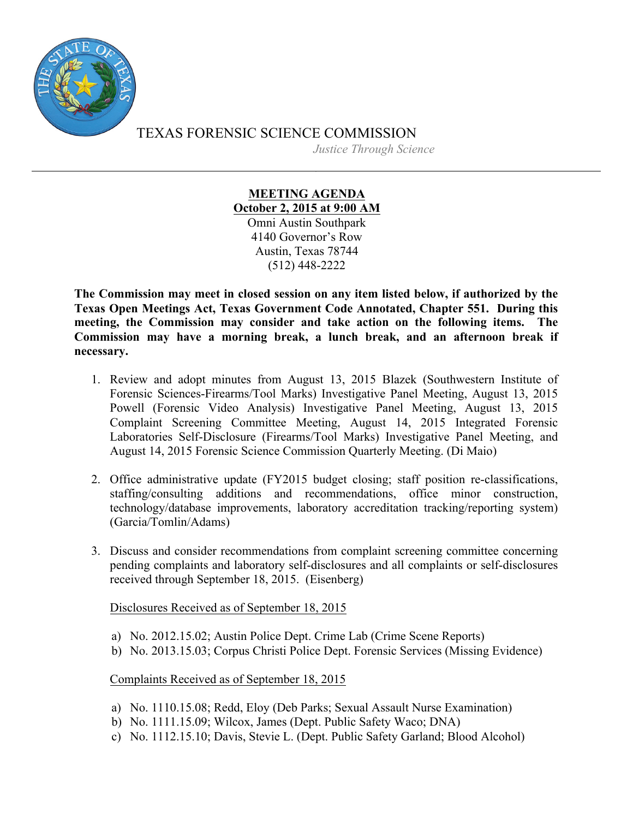

TEXAS FORENSIC SCIENCE COMMISSION *Justice Through Science*

> **MEETING AGENDA October 2, 2015 at 9:00 AM** Omni Austin Southpark 4140 Governor's Row Austin, Texas 78744 (512) 448-2222

**The Commission may meet in closed session on any item listed below, if authorized by the Texas Open Meetings Act, Texas Government Code Annotated, Chapter 551. During this meeting, the Commission may consider and take action on the following items. The Commission may have a morning break, a lunch break, and an afternoon break if necessary.**

- 1. Review and adopt minutes from August 13, 2015 Blazek (Southwestern Institute of Forensic Sciences-Firearms/Tool Marks) Investigative Panel Meeting, August 13, 2015 Powell (Forensic Video Analysis) Investigative Panel Meeting, August 13, 2015 Complaint Screening Committee Meeting, August 14, 2015 Integrated Forensic Laboratories Self-Disclosure (Firearms/Tool Marks) Investigative Panel Meeting, and August 14, 2015 Forensic Science Commission Quarterly Meeting. (Di Maio)
- 2. Office administrative update (FY2015 budget closing; staff position re-classifications, staffing/consulting additions and recommendations, office minor construction, technology/database improvements, laboratory accreditation tracking/reporting system) (Garcia/Tomlin/Adams)
- 3. Discuss and consider recommendations from complaint screening committee concerning pending complaints and laboratory self-disclosures and all complaints or self-disclosures received through September 18, 2015. (Eisenberg)

Disclosures Received as of September 18, 2015

- a) No. 2012.15.02; Austin Police Dept. Crime Lab (Crime Scene Reports)
- b) No. 2013.15.03; Corpus Christi Police Dept. Forensic Services (Missing Evidence)

Complaints Received as of September 18, 2015

- a) No. 1110.15.08; Redd, Eloy (Deb Parks; Sexual Assault Nurse Examination)
- b) No. 1111.15.09; Wilcox, James (Dept. Public Safety Waco; DNA)
- c) No. 1112.15.10; Davis, Stevie L. (Dept. Public Safety Garland; Blood Alcohol)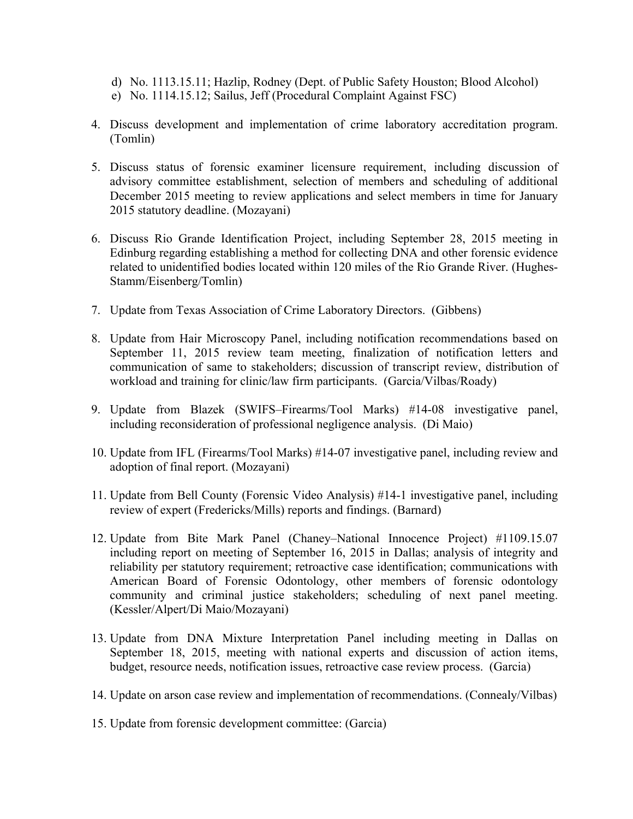- d) No. 1113.15.11; Hazlip, Rodney (Dept. of Public Safety Houston; Blood Alcohol)
- e) No. 1114.15.12; Sailus, Jeff (Procedural Complaint Against FSC)
- 4. Discuss development and implementation of crime laboratory accreditation program. (Tomlin)
- 5. Discuss status of forensic examiner licensure requirement, including discussion of advisory committee establishment, selection of members and scheduling of additional December 2015 meeting to review applications and select members in time for January 2015 statutory deadline. (Mozayani)
- 6. Discuss Rio Grande Identification Project, including September 28, 2015 meeting in Edinburg regarding establishing a method for collecting DNA and other forensic evidence related to unidentified bodies located within 120 miles of the Rio Grande River. (Hughes-Stamm/Eisenberg/Tomlin)
- 7. Update from Texas Association of Crime Laboratory Directors. (Gibbens)
- 8. Update from Hair Microscopy Panel, including notification recommendations based on September 11, 2015 review team meeting, finalization of notification letters and communication of same to stakeholders; discussion of transcript review, distribution of workload and training for clinic/law firm participants. (Garcia/Vilbas/Roady)
- 9. Update from Blazek (SWIFS–Firearms/Tool Marks) #14-08 investigative panel, including reconsideration of professional negligence analysis. (Di Maio)
- 10. Update from IFL (Firearms/Tool Marks) #14-07 investigative panel, including review and adoption of final report. (Mozayani)
- 11. Update from Bell County (Forensic Video Analysis) #14-1 investigative panel, including review of expert (Fredericks/Mills) reports and findings. (Barnard)
- 12. Update from Bite Mark Panel (Chaney–National Innocence Project) #1109.15.07 including report on meeting of September 16, 2015 in Dallas; analysis of integrity and reliability per statutory requirement; retroactive case identification; communications with American Board of Forensic Odontology, other members of forensic odontology community and criminal justice stakeholders; scheduling of next panel meeting. (Kessler/Alpert/Di Maio/Mozayani)
- 13. Update from DNA Mixture Interpretation Panel including meeting in Dallas on September 18, 2015, meeting with national experts and discussion of action items, budget, resource needs, notification issues, retroactive case review process. (Garcia)
- 14. Update on arson case review and implementation of recommendations. (Connealy/Vilbas)
- 15. Update from forensic development committee: (Garcia)